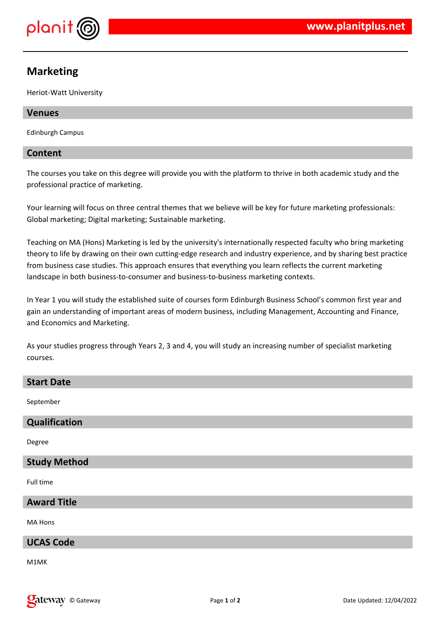

# **Marketing**

Heriot-Watt University

# **Venues**

Edinburgh Campus

# **Content**

The courses you take on this degree will provide you with the platform to thrive in both academic study and the professional practice of marketing.

Your learning will focus on three central themes that we believe will be key for future marketing professionals: Global marketing; Digital marketing; Sustainable marketing.

Teaching on MA (Hons) Marketing is led by the university's internationally respected faculty who bring marketing theory to life by drawing on their own cutting-edge research and industry experience, and by sharing best practice from business case studies. This approach ensures that everything you learn reflects the current marketing landscape in both business-to-consumer and business-to-business marketing contexts.

In Year 1 you will study the established suite of courses form Edinburgh Business School's common first year and gain an understanding of important areas of modern business, including Management, Accounting and Finance, and Economics and Marketing.

As your studies progress through Years 2, 3 and 4, you will study an increasing number of specialist marketing courses.

| <b>Start Date</b>   |
|---------------------|
| September           |
| Qualification       |
| Degree              |
| <b>Study Method</b> |
| Full time           |
| <b>Award Title</b>  |
| MA Hons             |
| <b>UCAS Code</b>    |

M1MK